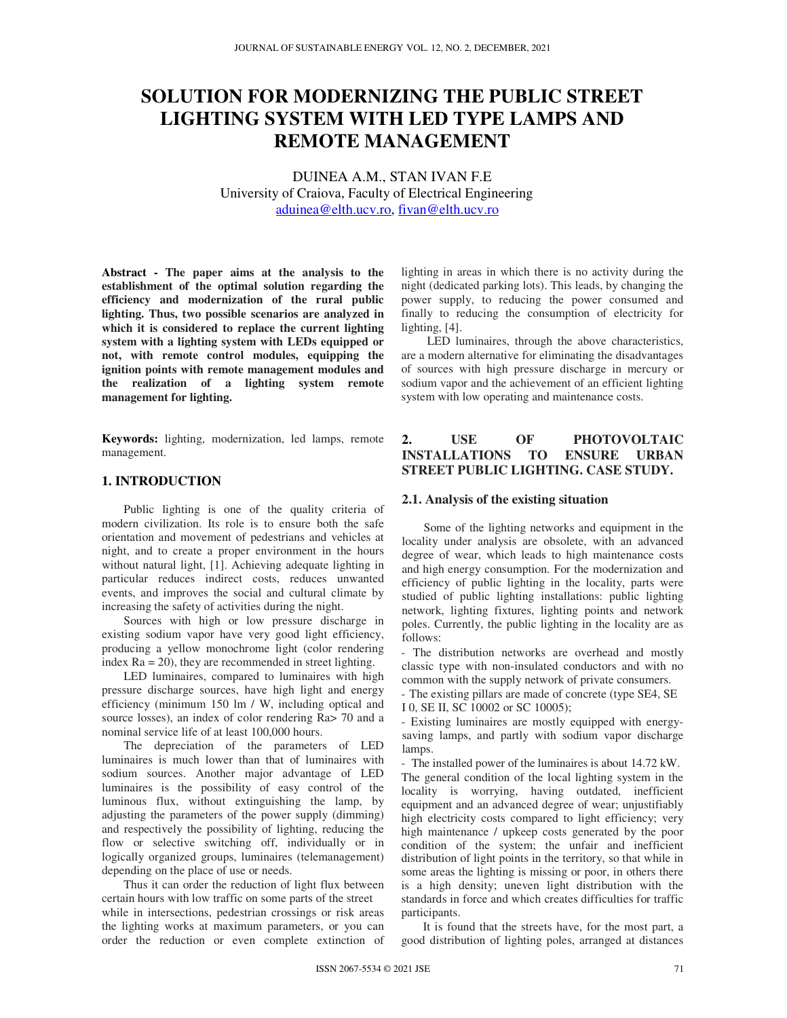# **SOLUTION FOR MODERNIZING THE PUBLIC STREET LIGHTING SYSTEM WITH LED TYPE LAMPS AND REMOTE MANAGEMENT**

DUINEA A.M., STAN IVAN F.E University of Craiova, Faculty of Electrical Engineering aduinea@elth.ucv.ro, fivan@elth.ucv.ro

**Abstract - The paper aims at the analysis to the establishment of the optimal solution regarding the efficiency and modernization of the rural public lighting. Thus, two possible scenarios are analyzed in which it is considered to replace the current lighting system with a lighting system with LEDs equipped or not, with remote control modules, equipping the ignition points with remote management modules and the realization of a lighting system remote management for lighting.** 

**Keywords:** lighting, modernization, led lamps, remote management.

# **1. INTRODUCTION**

Public lighting is one of the quality criteria of modern civilization. Its role is to ensure both the safe orientation and movement of pedestrians and vehicles at night, and to create a proper environment in the hours without natural light, [1]. Achieving adequate lighting in particular reduces indirect costs, reduces unwanted events, and improves the social and cultural climate by increasing the safety of activities during the night.

Sources with high or low pressure discharge in existing sodium vapor have very good light efficiency, producing a yellow monochrome light (color rendering index Ra = 20), they are recommended in street lighting.

LED luminaires, compared to luminaires with high pressure discharge sources, have high light and energy efficiency (minimum 150 lm / W, including optical and source losses), an index of color rendering Ra $>$  70 and a nominal service life of at least 100,000 hours.

The depreciation of the parameters of LED luminaires is much lower than that of luminaires with sodium sources. Another major advantage of LED luminaires is the possibility of easy control of the luminous flux, without extinguishing the lamp, by adjusting the parameters of the power supply (dimming) and respectively the possibility of lighting, reducing the flow or selective switching off, individually or in logically organized groups, luminaires (telemanagement) depending on the place of use or needs.

Thus it can order the reduction of light flux between certain hours with low traffic on some parts of the street while in intersections, pedestrian crossings or risk areas the lighting works at maximum parameters, or you can order the reduction or even complete extinction of lighting in areas in which there is no activity during the night (dedicated parking lots). This leads, by changing the power supply, to reducing the power consumed and finally to reducing the consumption of electricity for lighting, [4].

LED luminaires, through the above characteristics, are a modern alternative for eliminating the disadvantages of sources with high pressure discharge in mercury or sodium vapor and the achievement of an efficient lighting system with low operating and maintenance costs.

# **2. USE OF PHOTOVOLTAIC INSTALLATIONS TO ENSURE URBAN STREET PUBLIC LIGHTING. CASE STUDY.**

#### **2.1. Analysis of the existing situation**

Some of the lighting networks and equipment in the locality under analysis are obsolete, with an advanced degree of wear, which leads to high maintenance costs and high energy consumption. For the modernization and efficiency of public lighting in the locality, parts were studied of public lighting installations: public lighting network, lighting fixtures, lighting points and network poles. Currently, the public lighting in the locality are as follows:

- The distribution networks are overhead and mostly classic type with non-insulated conductors and with no common with the supply network of private consumers.

- The existing pillars are made of concrete (type SE4, SE I 0, SE II, SC 10002 or SC 10005);

- Existing luminaires are mostly equipped with energysaving lamps, and partly with sodium vapor discharge lamps.

- The installed power of the luminaires is about 14.72 kW. The general condition of the local lighting system in the locality is worrying, having outdated, inefficient equipment and an advanced degree of wear; unjustifiably high electricity costs compared to light efficiency; very high maintenance / upkeep costs generated by the poor condition of the system; the unfair and inefficient distribution of light points in the territory, so that while in some areas the lighting is missing or poor, in others there is a high density; uneven light distribution with the standards in force and which creates difficulties for traffic participants.

It is found that the streets have, for the most part, a good distribution of lighting poles, arranged at distances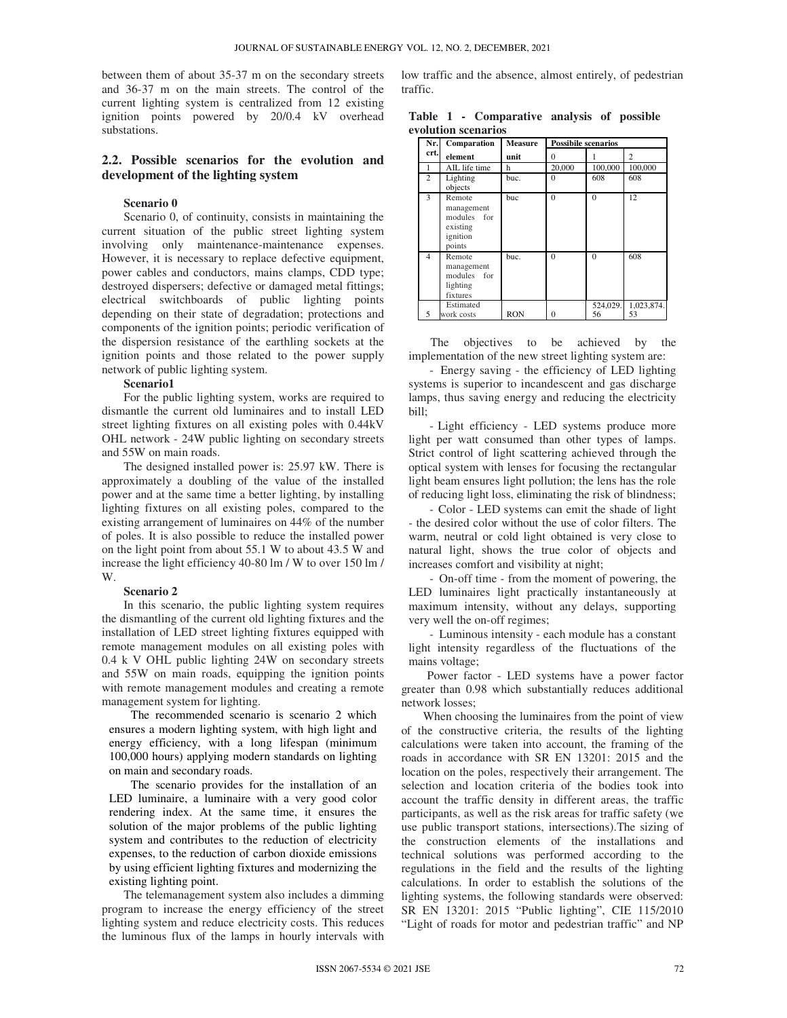between them of about 35-37 m on the secondary streets and 36-37 m on the main streets. The control of the current lighting system is centralized from 12 existing ignition points powered by 20/0.4 kV overhead substations.

# **2.2. Possible scenarios for the evolution and development of the lighting system**

#### **Scenario 0**

Scenario 0, of continuity, consists in maintaining the current situation of the public street lighting system involving only maintenance-maintenance expenses. However, it is necessary to replace defective equipment, power cables and conductors, mains clamps, CDD type; destroyed dispersers; defective or damaged metal fittings; electrical switchboards of public lighting points depending on their state of degradation; protections and components of the ignition points; periodic verification of the dispersion resistance of the earthling sockets at the ignition points and those related to the power supply network of public lighting system.

#### **Scenario1**

For the public lighting system, works are required to dismantle the current old luminaires and to install LED street lighting fixtures on all existing poles with 0.44kV OHL network - 24W public lighting on secondary streets and 55W on main roads.

The designed installed power is: 25.97 kW. There is approximately a doubling of the value of the installed power and at the same time a better lighting, by installing lighting fixtures on all existing poles, compared to the existing arrangement of luminaires on 44% of the number of poles. It is also possible to reduce the installed power on the light point from about 55.1 W to about 43.5 W and increase the light efficiency 40-80 lm / W to over 150 lm / W.

#### **Scenario 2**

In this scenario, the public lighting system requires the dismantling of the current old lighting fixtures and the installation of LED street lighting fixtures equipped with remote management modules on all existing poles with 0.4 k V OHL public lighting 24W on secondary streets and 55W on main roads, equipping the ignition points with remote management modules and creating a remote management system for lighting.

The recommended scenario is scenario 2 which ensures a modern lighting system, with high light and energy efficiency, with a long lifespan (minimum 100,000 hours) applying modern standards on lighting on main and secondary roads.

The scenario provides for the installation of an LED luminaire, a luminaire with a very good color rendering index. At the same time, it ensures the solution of the major problems of the public lighting system and contributes to the reduction of electricity expenses, to the reduction of carbon dioxide emissions by using efficient lighting fixtures and modernizing the existing lighting point.

The telemanagement system also includes a dimming program to increase the energy efficiency of the street lighting system and reduce electricity costs. This reduces the luminous flux of the lamps in hourly intervals with

low traffic and the absence, almost entirely, of pedestrian traffic.

|  | Table 1 - Comparative analysis of possible |  |  |
|--|--------------------------------------------|--|--|
|  | evolution scenarios                        |  |  |

| Nr.            | Comparation                                                           | <b>Measure</b> | <b>Possibile scenarios</b> |                |                             |
|----------------|-----------------------------------------------------------------------|----------------|----------------------------|----------------|-----------------------------|
| crt.           | element                                                               | unit           | $\theta$                   |                | $\mathcal{D}_{\mathcal{A}}$ |
|                | AIL life time                                                         | h              | 20,000                     | 100,000        | 100,000                     |
| $\mathfrak{D}$ | Lighting<br>objects                                                   | buc.           | $\Omega$                   | 608            | 608                         |
| 3              | Remote<br>management<br>modules for<br>existing<br>ignition<br>points | buc            | $\theta$                   | $\Omega$       | 12                          |
| 4              | Remote<br>management<br>modules for<br>lighting<br>fixtures           | buc.           | $\theta$                   | $\theta$       | 608                         |
| 5              | Estimated<br>work costs                                               | <b>RON</b>     | $\Omega$                   | 524,029.<br>56 | 1,023,874.<br>53            |

The objectives to be achieved by the implementation of the new street lighting system are:

- Energy saving - the efficiency of LED lighting systems is superior to incandescent and gas discharge lamps, thus saving energy and reducing the electricity bill;

- Light efficiency - LED systems produce more light per watt consumed than other types of lamps. Strict control of light scattering achieved through the optical system with lenses for focusing the rectangular light beam ensures light pollution; the lens has the role of reducing light loss, eliminating the risk of blindness;

- Color - LED systems can emit the shade of light - the desired color without the use of color filters. The warm, neutral or cold light obtained is very close to natural light, shows the true color of objects and increases comfort and visibility at night;

- On-off time - from the moment of powering, the LED luminaires light practically instantaneously at maximum intensity, without any delays, supporting very well the on-off regimes;

- Luminous intensity - each module has a constant light intensity regardless of the fluctuations of the mains voltage;

Power factor - LED systems have a power factor greater than 0.98 which substantially reduces additional network losses;

When choosing the luminaires from the point of view of the constructive criteria, the results of the lighting calculations were taken into account, the framing of the roads in accordance with SR EN 13201: 2015 and the location on the poles, respectively their arrangement. The selection and location criteria of the bodies took into account the traffic density in different areas, the traffic participants, as well as the risk areas for traffic safety (we use public transport stations, intersections).The sizing of the construction elements of the installations and technical solutions was performed according to the regulations in the field and the results of the lighting calculations. In order to establish the solutions of the lighting systems, the following standards were observed: SR EN 13201: 2015 "Public lighting", CIE 115/2010 "Light of roads for motor and pedestrian traffic" and NP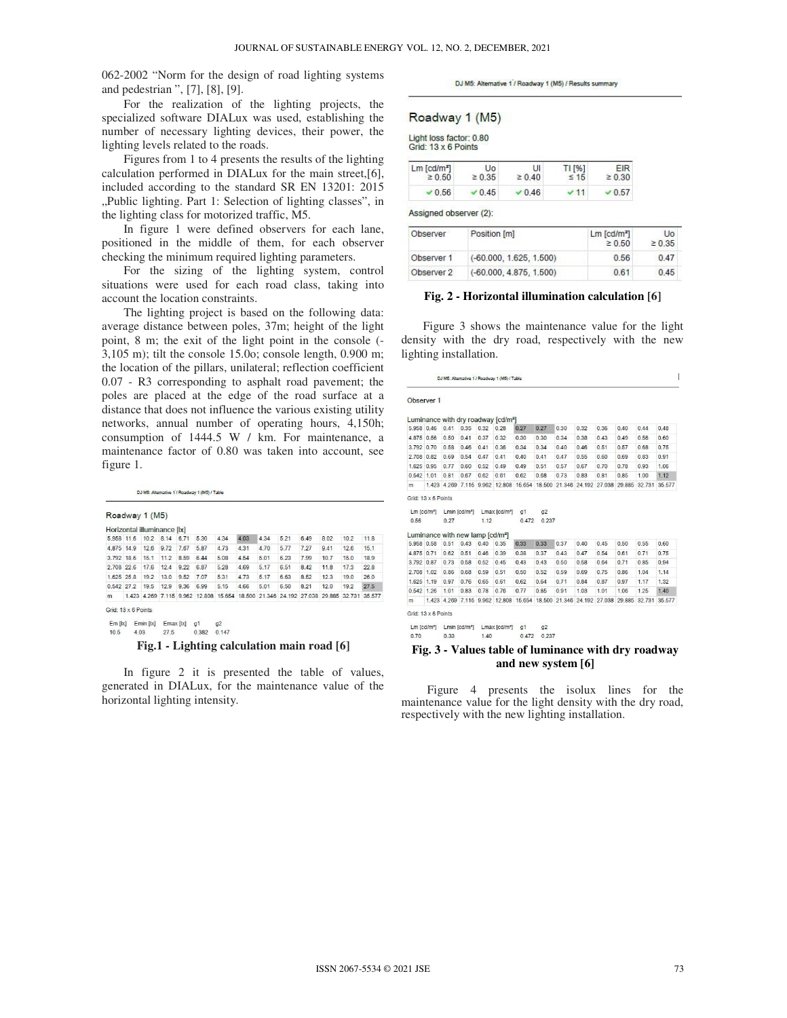062-2002 "Norm for the design of road lighting systems and pedestrian ", [7], [8], [9].

For the realization of the lighting projects, the specialized software DIALux was used, establishing the number of necessary lighting devices, their power, the lighting levels related to the roads.

Figures from 1 to 4 presents the results of the lighting calculation performed in DIALux for the main street,[6], included according to the standard SR EN 13201: 2015 "Public lighting. Part 1: Selection of lighting classes", in the lighting class for motorized traffic, M5.

In figure 1 were defined observers for each lane, positioned in the middle of them, for each observer checking the minimum required lighting parameters.

For the sizing of the lighting system, control situations were used for each road class, taking into account the location constraints.

The lighting project is based on the following data: average distance between poles, 37m; height of the light point, 8 m; the exit of the light point in the console (- 3,105 m); tilt the console 15.0o; console length, 0.900 m; the location of the pillars, unilateral; reflection coefficient 0.07 - R3 corresponding to asphalt road pavement; the poles are placed at the edge of the road surface at a distance that does not influence the various existing utility networks, annual number of operating hours, 4,150h; consumption of 1444.5 W / km. For maintenance, a maintenance factor of 0.80 was taken into account, see figure 1.

DJ M5: Alternative 1 / Roadway 1 (M5) / Table

#### Roadway 1 (M5)

|                           |      | Horizontal illuminance [x] |      |                                                                                        |      |      |       |      |      |      |      |      |
|---------------------------|------|----------------------------|------|----------------------------------------------------------------------------------------|------|------|-------|------|------|------|------|------|
| 5.958 11.6 10.2 8.14 6.71 |      |                            |      | 5.30                                                                                   | 4.34 | 4.03 | 4.34  | 5.21 | 6.49 | 8.02 | 10.2 | 11.8 |
| 4.875 14.9                | 12.6 | 9.72                       | 7.67 | 5.87                                                                                   | 4.73 | 4.31 | 4.70  | 5.77 | 7.27 | 9.41 | 12.6 | 15.1 |
| 3.792 18.6                | 15.1 | 11.2                       | 8.59 | 6.44                                                                                   | 5.08 | 4.54 | 5.01  | 6.23 | 7.99 | 10.7 | 15.0 | 18.9 |
| 2708 226                  | 17.6 | 12.4                       | 922  | 6.87                                                                                   | 5.28 | 4.69 | 5.17  | 651  | 8.42 | 118  | 173  | 228  |
| 1625 258                  | 19.2 | 13.0                       | 9.52 | 7.07                                                                                   | 531  | 4.73 | 5 1 7 | 6.63 | 8.52 | 123  | 190  | 26.0 |
| 0.542 27 2                | 19.5 | 12.9                       | 9.36 | 6.99                                                                                   | 5.15 | 4.66 | 5.01  | 6.50 | 8 21 | 120  | 19.2 | 27.5 |
| m                         |      |                            |      | 1.423 4.269 7.115 9.962 12.808 15.654 18.500 21.346 24.192 27.038 29.885 32.731 35.577 |      |      |       |      |      |      |      |      |

 $\mathsf{Em}\left[ \mathsf{lx} \right] \quad \mathsf{Emin}\left[ \mathsf{lx} \right] \quad \mathsf{Emax}\left[ \mathsf{lx} \right] \quad \mathsf{g1}$  $0.382$   $0.147$  $10.5$ 4.03 27.5

**Fig.1 - Lighting calculation main road [6]** 

In figure 2 it is presented the table of values, generated in DIALux, for the maintenance value of the horizontal lighting intensity.

DJ M5: Alternative 1 / Roadway 1 (M5) / Results summary

#### Roadway 1 (M5)

Light loss factor: 0.80 Grid: 13 x 6 Points

| $Lm$ [cd/m <sup>2</sup> ] | Uo          | tЛ            | TI [%]      | <b>FIR</b>  |
|---------------------------|-------------|---------------|-------------|-------------|
| $\geq 0.50$               | $\geq 0.35$ | $\geq 0.40$   | $\leq 15$   | $\geq 0.30$ |
| ' 0.56                    | 0.45        | $\times$ 0.46 | $\times$ 11 | $\vee$ 0.57 |

Assigned observer (2):

| Observer   | Position [m]              | $Lm$ [cd/m <sup>2</sup> ]<br>$\geq 0.50$ | <b>Uo</b><br>$\geq 0.35$ |
|------------|---------------------------|------------------------------------------|--------------------------|
| Observer 1 | $(-60.000, 1.625, 1.500)$ | 0.56                                     | 0.47                     |
| Observer 2 | $(-60.000, 4.875, 1.500)$ | 0.61                                     | 0.45                     |

#### **Fig. 2 - Horizontal illumination calculation [6]**

Figure 3 shows the maintenance value for the light density with the dry road, respectively with the new lighting installation.

|                | Observer 1          |                                              |                           |      |                                                                                        |                         |                         |      |      |      |      |                      |      |
|----------------|---------------------|----------------------------------------------|---------------------------|------|----------------------------------------------------------------------------------------|-------------------------|-------------------------|------|------|------|------|----------------------|------|
|                |                     |                                              |                           |      | Luminance with dry roadway [cd/m <sup>2</sup> ]                                        |                         |                         |      |      |      |      |                      |      |
| 5.958 0.46     |                     | 0.41                                         | 0.35                      | 0.32 | 0.28                                                                                   | 0.27                    | 0.27                    | 0.30 | 0.32 | 0.36 | 0.40 | 0.44                 | 0.48 |
| 4.875 0.56     |                     | 0.50                                         | 0.41                      | 0.37 | 0.32                                                                                   | 0.30                    | 0.30                    | 0.34 | 0.38 | 0.43 | 0.49 | 0.56                 | 0.60 |
| 3,792 0.70     |                     | 0.58                                         | 0.46                      | 0.41 | 0.36                                                                                   | 0.34                    | 0.34                    | 0.40 | 0.46 | 0.51 | 0.57 | 0.68                 | 0.75 |
| 2,708 0.82     |                     | 0.69                                         | 0.54                      | 0.47 | 0.41                                                                                   | 0.40                    | 0.41                    | 0.47 | 0.55 | 0.60 | 0.69 | 0.83                 | 0.91 |
| 1,625 0.95     |                     | 0.77                                         | 0.60                      | 0.52 | 0.49                                                                                   | 0.49                    | 0.51                    | 0.57 | 0.67 | 0.70 | 0.78 | 0.93                 | 1.06 |
| 0.542 1.01     |                     | 0.81                                         | 0.67                      | 0.62 | 0.61                                                                                   | 0.62                    | 0.68                    | 0.73 | 0.83 | 0.81 | 0.85 | 1.00                 | 1.12 |
| m              |                     |                                              |                           |      | 1,423 4,269 7,115 9,962 12,808 15,654 18,500 21,346 24,192 27,038                      |                         |                         |      |      |      |      | 29.885 32.731 35.577 |      |
| 0.56           | $Lm$ $[cd/m2]$      | 0.27                                         | Lmin [cd/m <sup>2</sup> ] | 1.12 | Lmax [cd/m <sup>2</sup> ]                                                              | Q <sub>1</sub><br>0.472 | Q <sub>2</sub><br>0.237 |      |      |      |      |                      |      |
|                |                     | Luminance with new lamp [cd/m <sup>2</sup> ] |                           |      |                                                                                        |                         |                         |      |      |      |      |                      |      |
|                | 5,958 0.58          | 0.51                                         | $0.43$ 0.40               |      | 0.35                                                                                   | 0.33                    | 0.33                    | 0.37 | 0.40 | 0.45 | 0.50 | 0.55                 | 0.60 |
| 4,875 0.71     |                     | 0.62                                         | 0.51                      | 0.46 | 0.39                                                                                   | 0.38                    | 0.37                    | 0.43 | 0.47 | 0.54 | 0.61 | 0.71                 | 0.75 |
| 3.792 0.87     |                     | 0.73                                         | 0.58                      | 0.52 | 0.45                                                                                   | 0.43                    | 0.43                    | 0.50 | 0.58 | 0.64 | 0.71 | 0.85                 | 0.94 |
| 2,708 1.02     |                     | 0.86                                         | 0.68                      | 0.59 | 0.51                                                                                   | 0.50                    | 0.52                    | 0.59 | 0.69 | 0.75 | 0.86 | 1.04                 | 1.14 |
| 1,625 1.19     |                     | 0.97                                         | 076                       | 0.65 | 0.61                                                                                   | 0.62                    | 0.64                    | 0.71 | 0.84 | 0.87 | 0.97 | 1.17                 | 1.32 |
| 0.542 1.26     |                     | 1.01                                         | 0.83                      | 0.78 | 0.76                                                                                   | 0.77                    | 0.85                    | 0.91 | 1.03 | 1.01 | 1.06 | 1.25                 | 1.40 |
|                |                     |                                              |                           |      | 1,423 4,269 7,115 9,962 12,808 15,654 18,500 21,346 24,192 27,038 29,885 32,731 35,577 |                         |                         |      |      |      |      |                      |      |
| m              | Grid: 13 x 6 Points |                                              |                           |      |                                                                                        |                         |                         |      |      |      |      |                      |      |
| $Lm$ $[cd/m2]$ |                     |                                              | Lmin [cd/m <sup>2</sup> ] |      | Lmax [cd/m <sup>-</sup> ]                                                              | a <sub>1</sub>          | Q <sub>2</sub>          |      |      |      |      |                      |      |

#### **Fig. 3 - Values table of luminance with dry roadway and new system [6]**

Figure 4 presents the isolux lines for the maintenance value for the light density with the dry road, respectively with the new lighting installation.

 $\overline{1}$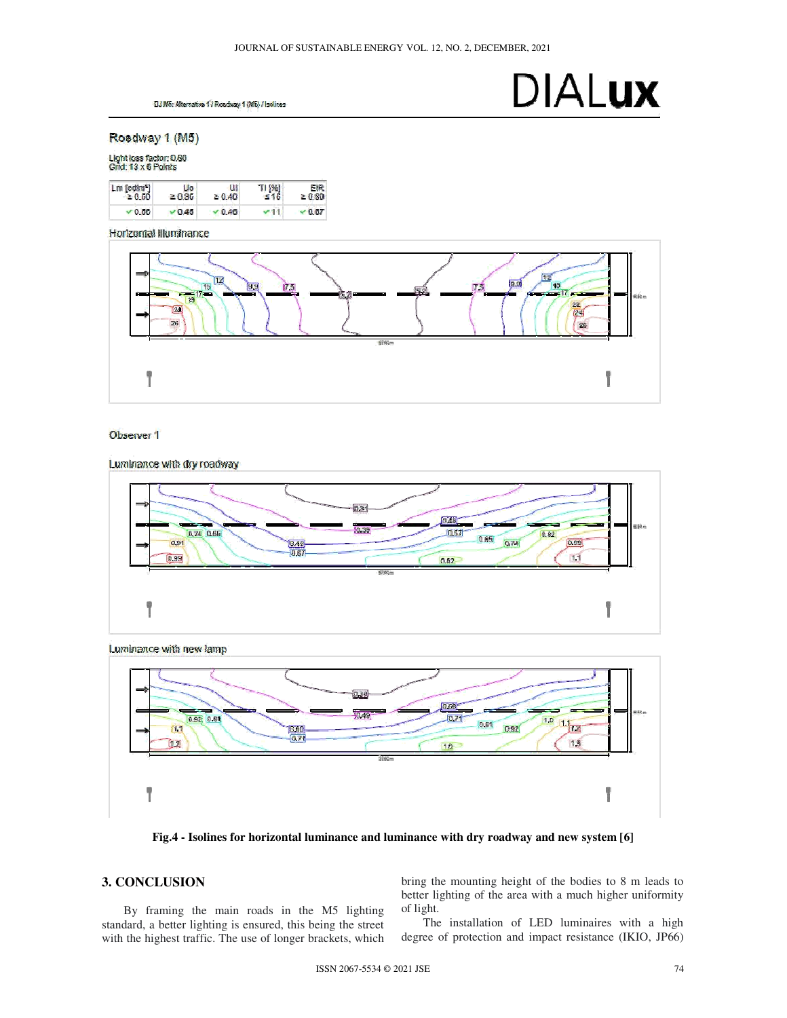DJ M5: Alternative 1 / Roadway 1 (M5) / lookines

# **DIALUX**

Roadway 1 (M5)

Light loss factor: 0.80<br>Grid: 13 x 6 Points



Horizontal Illuminance



### Observer 1

Luminance with dry roadway

 $ln x$  $\sqrt{0.48}$ 0.39 lash 0.74 0.65  $0.82$  $0.65$ 0.91 074  $\sqrt{2}$  $\frac{10.48}{-80.67}$  $11$  $\overline{0}$  and  $0.62$ Ÿ ľ



**Fig.4 - Isolines for horizontal luminance and luminance with dry roadway and new system [6]** 

# **3. CONCLUSION**

By framing the main roads in the M5 lighting standard, a better lighting is ensured, this being the street with the highest traffic. The use of longer brackets, which bring the mounting height of the bodies to 8 m leads to better lighting of the area with a much higher uniformity of light.

The installation of LED luminaires with a high degree of protection and impact resistance (IKIO, JP66)